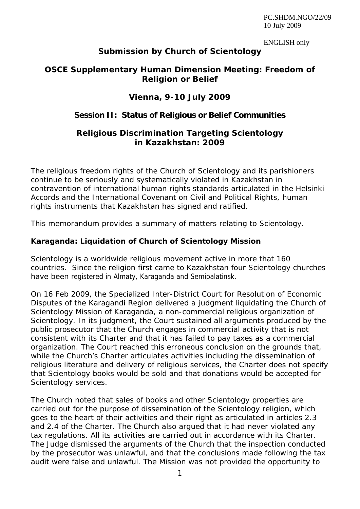PC.SHDM.NGO/22/09 10 July 2009

ENGLISH only

# **Submission by Church of Scientology**

# **OSCE Supplementary Human Dimension Meeting: Freedom of Religion or Belief**

### **Vienna, 9-10 July 2009**

# **Session II: Status of Religious or Belief Communities**

### **Religious Discrimination Targeting Scientology in Kazakhstan: 2009**

The religious freedom rights of the Church of Scientology and its parishioners continue to be seriously and systematically violated in Kazakhstan in contravention of international human rights standards articulated in the Helsinki Accords and the International Covenant on Civil and Political Rights, human rights instruments that Kazakhstan has signed and ratified.

This memorandum provides a summary of matters relating to Scientology.

### **Karaganda: Liquidation of Church of Scientology Mission**

Scientology is a worldwide religious movement active in more that 160 countries. Since the religion first came to Kazakhstan four Scientology churches have been registered in Almaty, Karaganda and Semipalatinsk.

On 16 Feb 2009, the Specialized Inter-District Court for Resolution of Economic Disputes of the Karagandi Region delivered a judgment liquidating the Church of Scientology Mission of Karaganda, a non-commercial religious organization of Scientology. In its judgment, the Court sustained all arguments produced by the public prosecutor that the Church engages in commercial activity that is not consistent with its Charter and that it has failed to pay taxes as a commercial organization. The Court reached this erroneous conclusion on the grounds that, while the Church's Charter articulates activities including the dissemination of religious literature and delivery of religious services, the Charter does not specify that Scientology books would be sold and that donations would be accepted for Scientology services.

The Church noted that sales of books and other Scientology properties are carried out for the purpose of dissemination of the Scientology religion, which goes to the heart of their activities and their right as articulated in articles 2.3 and 2.4 of the Charter. The Church also argued that it had never violated any tax regulations. All its activities are carried out in accordance with its Charter. The Judge dismissed the arguments of the Church that the inspection conducted by the prosecutor was unlawful, and that the conclusions made following the tax audit were false and unlawful. The Mission was not provided the opportunity to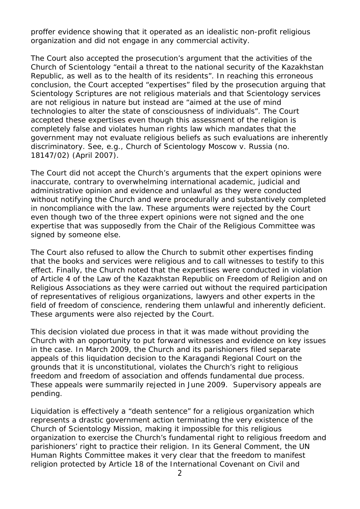proffer evidence showing that it operated as an idealistic non-profit religious organization and did not engage in any commercial activity.

The Court also accepted the prosecution's argument that the activities of the Church of Scientology "entail a threat to the national security of the Kazakhstan Republic, as well as to the health of its residents". In reaching this erroneous conclusion, the Court accepted "expertises" filed by the prosecution arguing that Scientology Scriptures are not religious materials and that Scientology services are not religious in nature but instead are "aimed at the use of mind technologies to alter the state of consciousness of individuals". The Court accepted these expertises even though this assessment of the religion is completely false and violates human rights law which mandates that the government may not evaluate religious beliefs as such evaluations are inherently discriminatory. *See, e.g., Church of Scientology Moscow v. Russia* (no. 18147/02) (April 2007).

The Court did not accept the Church's arguments that the expert opinions were inaccurate, contrary to overwhelming international academic, judicial and administrative opinion and evidence and unlawful as they were conducted without notifying the Church and were procedurally and substantively completed in noncompliance with the law. These arguments were rejected by the Court even though two of the three expert opinions were not signed and the one expertise that was supposedly from the Chair of the Religious Committee was signed by someone else.

The Court also refused to allow the Church to submit other expertises finding that the books and services were religious and to call witnesses to testify to this effect. Finally, the Church noted that the expertises were conducted in violation of Article 4 of the Law of the Kazakhstan Republic on Freedom of Religion and on Religious Associations as they were carried out without the required participation of representatives of religious organizations, lawyers and other experts in the field of freedom of conscience, rendering them unlawful and inherently deficient. These arguments were also rejected by the Court.

This decision violated due process in that it was made without providing the Church with an opportunity to put forward witnesses and evidence on key issues in the case. In March 2009, the Church and its parishioners filed separate appeals of this liquidation decision to the Karagandi Regional Court on the grounds that it is unconstitutional, violates the Church's right to religious freedom and freedom of association and offends fundamental due process. These appeals were summarily rejected in June 2009. Supervisory appeals are pending.

Liquidation is effectively a "death sentence" for a religious organization which represents a drastic government action terminating the very existence of the Church of Scientology Mission, making it impossible for this religious organization to exercise the Church's fundamental right to religious freedom and parishioners' right to practice their religion. In its General Comment, the UN Human Rights Committee makes it very clear that the freedom to manifest religion protected by Article 18 of the International Covenant on Civil and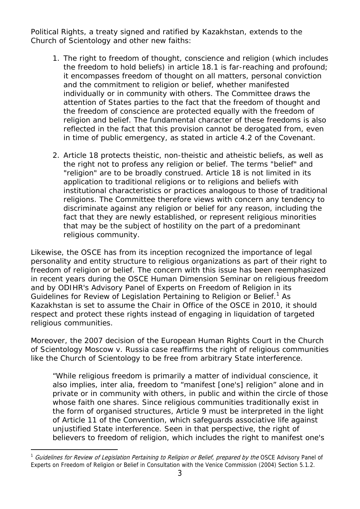Political Rights, a treaty signed and ratified by Kazakhstan, extends to the Church of Scientology and other new faiths:

- 1. The right to freedom of thought, conscience and religion (which includes the freedom to hold beliefs) in article 18.1 is far-reaching and profound; it encompasses freedom of thought on all matters, personal conviction and the commitment to religion or belief, whether manifested individually or in community with others. The Committee draws the attention of States parties to the fact that the freedom of thought and the freedom of conscience are protected equally with the freedom of religion and belief. The fundamental character of these freedoms is also reflected in the fact that this provision cannot be derogated from, even in time of public emergency, as stated in article 4.2 of the Covenant.
- 2. Article 18 protects theistic, non-theistic and atheistic beliefs, as well as the right not to profess any religion or belief. The terms "belief" and "religion" are to be broadly construed. Article 18 is not limited in its application to traditional religions or to religions and beliefs with institutional characteristics or practices analogous to those of traditional religions. *The Committee therefore views with concern any tendency to discriminate against any religion or belief for any reason, including the fact that they are newly established, or represent religious minorities that may be the subject of hostility on the part of a predominant religious community.*

Likewise, the OSCE has from its inception recognized the importance of legal personality and entity structure to religious organizations as part of their right to freedom of religion or belief. The concern with this issue has been reemphasized in recent years during the OSCE Human Dimension Seminar on religious freedom and by ODIHR's Advisory Panel of Experts on Freedom of Religion in its *Guidelines for Review of Legislation Pertaining to Religion or Belief.*<sup>1</sup> As Kazakhstan is set to assume the Chair in Office of the OSCE in 2010, it should respect and protect these rights instead of engaging in liquidation of targeted religious communities.

Moreover, the 2007 decision of the European Human Rights Court in the *Church of Scientology Moscow v. Russia* case reaffirms the right of religious communities like the Church of Scientology to be free from arbitrary State interference.

"While religious freedom is primarily a matter of individual conscience, it also implies, *inter alia*, freedom to "manifest [one's] religion" alone and in private or in community with others, in public and within the circle of those whose faith one shares. Since religious communities traditionally exist in the form of organised structures, Article 9 must be interpreted in the light of Article 11 of the Convention, which safeguards associative life against unjustified State interference. Seen in that perspective, the right of believers to freedom of religion, which includes the right to manifest one's

j

<sup>&</sup>lt;sup>1</sup> Guidelines for Review of Legislation Pertaining to Religion or Belief, prepared by the OSCE Advisory Panel of Experts on Freedom of Religion or Belief in Consultation with the Venice Commission (2004) Section 5.1.2.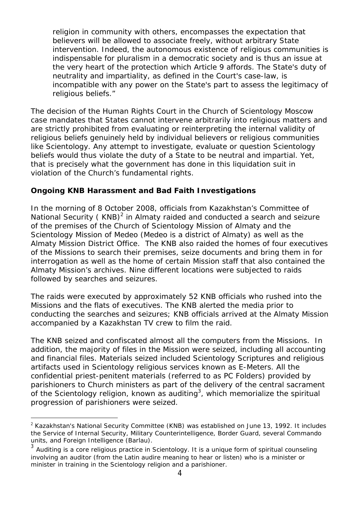religion in community with others, encompasses the expectation that believers will be allowed to associate freely, without arbitrary State intervention. Indeed, the autonomous existence of religious communities is indispensable for pluralism in a democratic society and is thus an issue at the very heart of the protection which Article 9 affords. The State's duty of neutrality and impartiality, as defined in the Court's case-law, is incompatible with any power on the State's part to assess the legitimacy of religious beliefs."

The decision of the Human Rights Court in the *Church of Scientology Moscow* case mandates that States cannot intervene arbitrarily into religious matters and are strictly prohibited from evaluating or reinterpreting the internal validity of religious beliefs genuinely held by individual believers or religious communities like Scientology. Any attempt to investigate, evaluate or question Scientology beliefs would thus violate the duty of a State to be neutral and impartial. Yet, that is precisely what the government has done in this liquidation suit in violation of the Church's fundamental rights.

#### **Ongoing KNB Harassment and Bad Faith Investigations**

In the morning of 8 October 2008, officials from Kazakhstan's Committee of National Security (KNB)<sup>2</sup> in Almaty raided and conducted a search and seizure of the premises of the Church of Scientology Mission of Almaty and the Scientology Mission of Medeo (Medeo is a district of Almaty) as well as the Almaty Mission District Office. The KNB also raided the homes of four executives of the Missions to search their premises, seize documents and bring them in for interrogation as well as the home of certain Mission staff that also contained the Almaty Mission's archives. Nine different locations were subjected to raids followed by searches and seizures.

The raids were executed by approximately 52 KNB officials who rushed into the Missions and the flats of executives. The KNB alerted the media prior to conducting the searches and seizures; KNB officials arrived at the Almaty Mission accompanied by a Kazakhstan TV crew to film the raid.

The KNB seized and confiscated almost all the computers from the Missions. In addition, the majority of files in the Mission were seized, including all accounting and financial files. Materials seized included Scientology Scriptures and religious artifacts used in Scientology religious services known as E-Meters. All the confidential priest-penitent materials (referred to as PC Folders) provided by parishioners to Church ministers as part of the delivery of the central sacrament of the Scientology religion, known as auditing<sup>3</sup>, which memorialize the spiritual progression of parishioners were seized.

 $\overline{a}$  $2$  Kazakhstan's National Security Committee (KNB) was established on June 13, 1992. It includes the Service of Internal Security, Military Counterintelligence, Border Guard, several Commando units, and Foreign Intelligence (Barlau).

 $3$  Auditing is a core religious practice in Scientology. It is a unique form of spiritual counseling involving an auditor (from the Latin *audire* meaning to hear or listen) who is a minister or minister in training in the Scientology religion and a parishioner.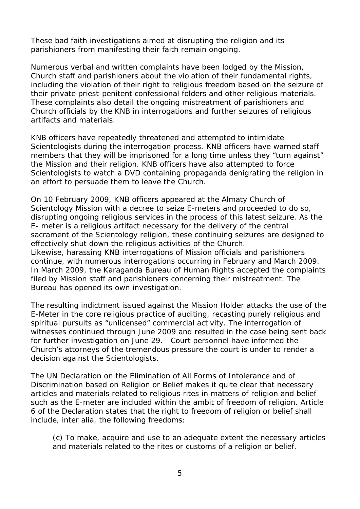These bad faith investigations aimed at disrupting the religion and its parishioners from manifesting their faith remain ongoing.

Numerous verbal and written complaints have been lodged by the Mission, Church staff and parishioners about the violation of their fundamental rights, including the violation of their right to religious freedom based on the seizure of their private priest-penitent confessional folders and other religious materials. These complaints also detail the ongoing mistreatment of parishioners and Church officials by the KNB in interrogations and further seizures of religious artifacts and materials.

KNB officers have repeatedly threatened and attempted to intimidate Scientologists during the interrogation process. KNB officers have warned staff members that they will be imprisoned for a long time unless they "turn against" the Mission and their religion. KNB officers have also attempted to force Scientologists to watch a DVD containing propaganda denigrating the religion in an effort to persuade them to leave the Church.

On 10 February 2009, KNB officers appeared at the Almaty Church of Scientology Mission with a decree to seize E-meters and proceeded to do so, disrupting ongoing religious services in the process of this latest seizure. As the E- meter is a religious artifact necessary for the delivery of the central sacrament of the Scientology religion, these continuing seizures are designed to effectively shut down the religious activities of the Church. Likewise, harassing KNB interrogations of Mission officials and parishioners continue, with numerous interrogations occurring in February and March 2009. In March 2009, the Karaganda Bureau of Human Rights accepted the complaints filed by Mission staff and parishioners concerning their mistreatment. The Bureau has opened its own investigation.

The resulting indictment issued against the Mission Holder attacks the use of the E-Meter in the core religious practice of auditing, recasting purely religious and spiritual pursuits as "unlicensed" commercial activity. The interrogation of witnesses continued through June 2009 and resulted in the case being sent back for further investigation on June 29. Court personnel have informed the Church's attorneys of the tremendous pressure the court is under to render a decision against the Scientologists.

The UN Declaration on the Elimination of All Forms of Intolerance and of Discrimination based on Religion or Belief makes it quite clear that necessary articles and materials related to religious rites in matters of religion and belief such as the E-meter are included within the ambit of freedom of religion. Article 6 of the Declaration states that the right to freedom of religion or belief shall include, *inter alia*, the following freedoms:

(c) To make, acquire and use to an adequate extent the necessary articles and materials related to the rites or customs of a religion or belief.

j